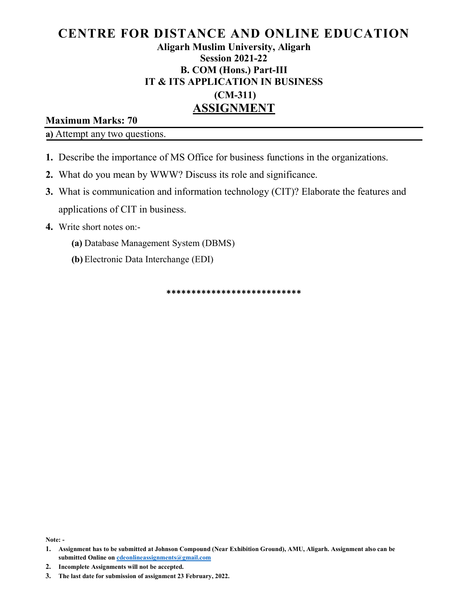# CENTRE FOR DISTANCE AND ONLINE EDUCATION Aligarh Muslim University, Aligarh Session 2021-22 B. COM (Hons.) Part-III IT & ITS APPLICATION IN BUSINESS (CM-311) ASSIGNMENT

## Maximum Marks: 70

a) Attempt any two questions.

- 1. Describe the importance of MS Office for business functions in the organizations.
- 2. What do you mean by WWW? Discuss its role and significance.
- 3. What is communication and information technology (CIT)? Elaborate the features and applications of CIT in business.
- 4. Write short notes on:-
	- (a) Database Management System (DBMS)
	- (b) Electronic Data Interchange (EDI)

\*\*\*\*\*\*\*\*\*\*\*\*\*\*\*\*\*\*\*\*\*\*\*\*\*\*\*

Note: -

<sup>1.</sup> Assignment has to be submitted at Johnson Compound (Near Exhibition Ground), AMU, Aligarh. Assignment also can be submitted Online on cdeonlineassignments@gmail.com

<sup>3.</sup> The last date for submission of assignment 23 February, 2022.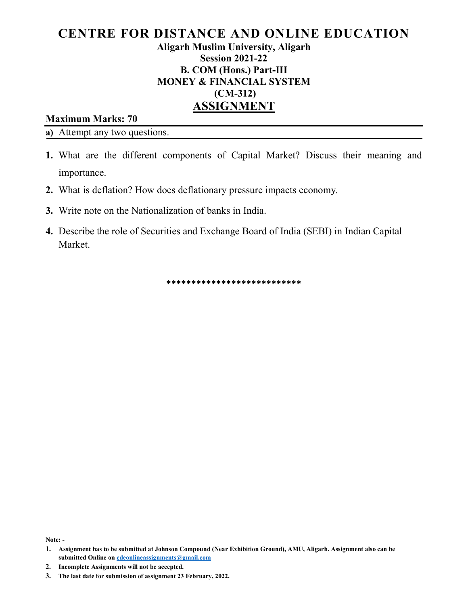# CENTRE FOR DISTANCE AND ONLINE EDUCATION Aligarh Muslim University, Aligarh Session 2021-22 B. COM (Hons.) Part-III MONEY & FINANCIAL SYSTEM (CM-312) ASSIGNMENT

## Maximum Marks: 70

a) Attempt any two questions.

- 1. What are the different components of Capital Market? Discuss their meaning and importance.
- 2. What is deflation? How does deflationary pressure impacts economy.
- 3. Write note on the Nationalization of banks in India.
- 4. Describe the role of Securities and Exchange Board of India (SEBI) in Indian Capital Market.

\*\*\*\*\*\*\*\*\*\*\*\*\*\*\*\*\*\*\*\*\*\*\*\*\*\*\*

Note: -

<sup>1.</sup> Assignment has to be submitted at Johnson Compound (Near Exhibition Ground), AMU, Aligarh. Assignment also can be submitted Online on cdeonlineassignments@gmail.com

<sup>3.</sup> The last date for submission of assignment 23 February, 2022.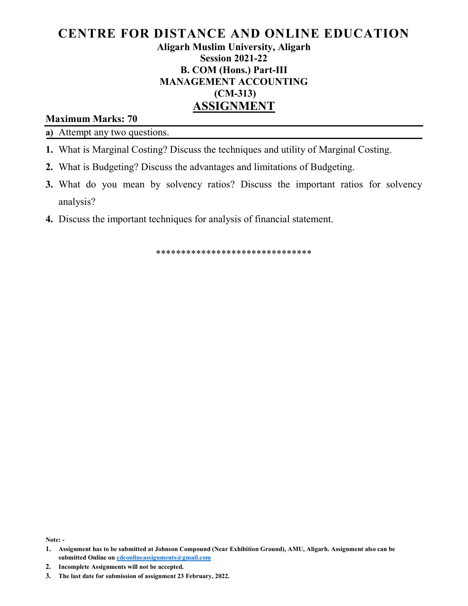# CENTRE FOR DISTANCE AND ONLINE EDUCATION Aligarh Muslim University, Aligarh Session 2021-22 B. COM (Hons.) Part-III MANAGEMENT ACCOUNTING (CM-313) ASSIGNMENT

## Maximum Marks: 70

a) Attempt any two questions.

- 1. What is Marginal Costing? Discuss the techniques and utility of Marginal Costing.
- 2. What is Budgeting? Discuss the advantages and limitations of Budgeting.
- 3. What do you mean by solvency ratios? Discuss the important ratios for solvency analysis?
- 4. Discuss the important techniques for analysis of financial statement.

\*\*\*\*\*\*\*\*\*\*\*\*\*\*\*\*\*\*\*\*\*\*\*\*\*\*\*\*\*\*\*

Note: -

<sup>1.</sup> Assignment has to be submitted at Johnson Compound (Near Exhibition Ground), AMU, Aligarh. Assignment also can be submitted Online on cdeonlineassignments@gmail.com

<sup>3.</sup> The last date for submission of assignment 23 February, 2022.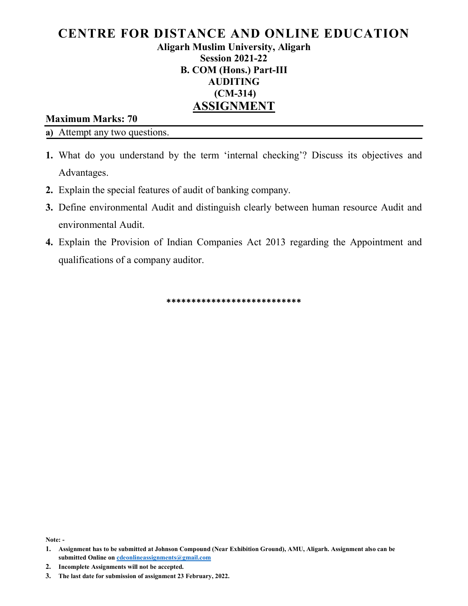# CENTRE FOR DISTANCE AND ONLINE EDUCATION Aligarh Muslim University, Aligarh Session 2021-22 B. COM (Hons.) Part-III AUDITING (CM-314) ASSIGNMENT

#### Maximum Marks: 70

a) Attempt any two questions.

- 1. What do you understand by the term 'internal checking'? Discuss its objectives and Advantages.
- 2. Explain the special features of audit of banking company.
- 3. Define environmental Audit and distinguish clearly between human resource Audit and environmental Audit.
- 4. Explain the Provision of Indian Companies Act 2013 regarding the Appointment and qualifications of a company auditor.

\*\*\*\*\*\*\*\*\*\*\*\*\*\*\*\*\*\*\*\*\*\*\*\*\*\*\*

Note: -

<sup>1.</sup> Assignment has to be submitted at Johnson Compound (Near Exhibition Ground), AMU, Aligarh. Assignment also can be submitted Online on cdeonlineassignments@gmail.com

<sup>3.</sup> The last date for submission of assignment 23 February, 2022.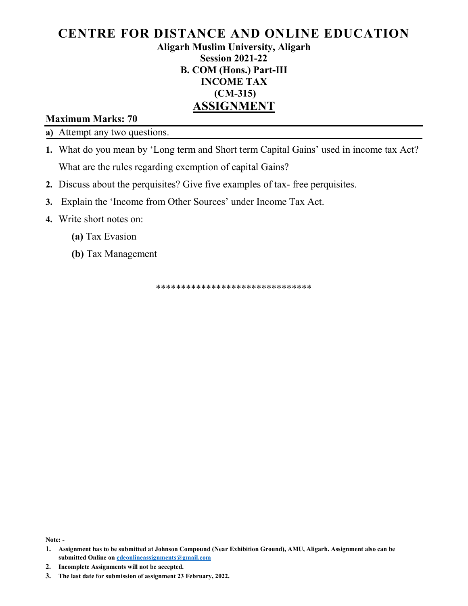## CENTRE FOR DISTANCE AND ONLINE EDUCATION Aligarh Muslim University, Aligarh Session 2021-22 B. COM (Hons.) Part-III INCOME TAX (CM-315)

# ASSIGNMENT

## Maximum Marks: 70

a) Attempt any two questions.

- 1. What do you mean by 'Long term and Short term Capital Gains' used in income tax Act? What are the rules regarding exemption of capital Gains?
- 2. Discuss about the perquisites? Give five examples of tax- free perquisites.
- 3. Explain the 'Income from Other Sources' under Income Tax Act.
- 4. Write short notes on:
	- (a) Tax Evasion
	- (b) Tax Management

\*\*\*\*\*\*\*\*\*\*\*\*\*\*\*\*\*\*\*\*\*\*\*\*\*\*\*\*\*\*\*

Note: -

- 2. Incomplete Assignments will not be accepted.
- 3. The last date for submission of assignment 23 February, 2022.

<sup>1.</sup> Assignment has to be submitted at Johnson Compound (Near Exhibition Ground), AMU, Aligarh. Assignment also can be submitted Online on cdeonlineassignments@gmail.com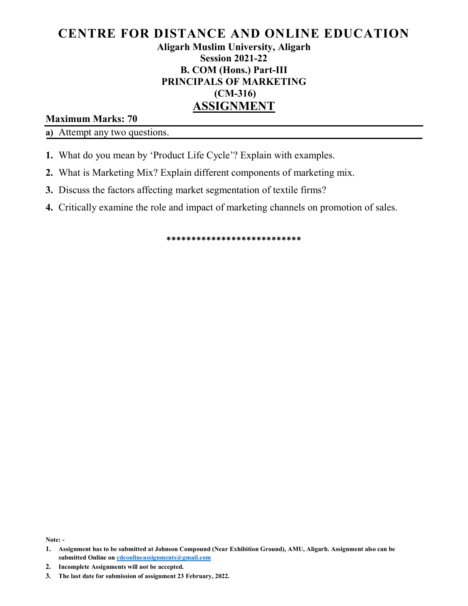# CENTRE FOR DISTANCE AND ONLINE EDUCATION Aligarh Muslim University, Aligarh Session 2021-22 B. COM (Hons.) Part-III PRINCIPALS OF MARKETING (CM-316) ASSIGNMENT

Maximum Marks: 70

a) Attempt any two questions.

- 1. What do you mean by 'Product Life Cycle'? Explain with examples.
- 2. What is Marketing Mix? Explain different components of marketing mix.
- 3. Discuss the factors affecting market segmentation of textile firms?
- 4. Critically examine the role and impact of marketing channels on promotion of sales.

\*\*\*\*\*\*\*\*\*\*\*\*\*\*\*\*\*\*\*\*\*\*\*\*\*\*\*

Note: -

<sup>1.</sup> Assignment has to be submitted at Johnson Compound (Near Exhibition Ground), AMU, Aligarh. Assignment also can be submitted Online on cdeonlineassignments@gmail.com

<sup>3.</sup> The last date for submission of assignment 23 February, 2022.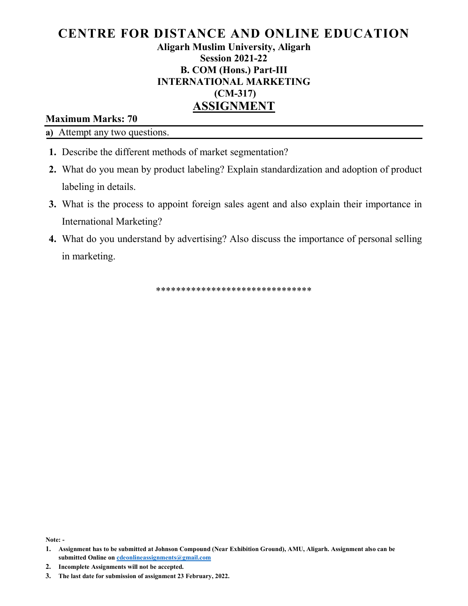# CENTRE FOR DISTANCE AND ONLINE EDUCATION Aligarh Muslim University, Aligarh Session 2021-22 B. COM (Hons.) Part-III INTERNATIONAL MARKETING (CM-317) ASSIGNMENT

## Maximum Marks: 70

a) Attempt any two questions.

- 1. Describe the different methods of market segmentation?
- 2. What do you mean by product labeling? Explain standardization and adoption of product labeling in details.
- 3. What is the process to appoint foreign sales agent and also explain their importance in International Marketing?
- 4. What do you understand by advertising? Also discuss the importance of personal selling in marketing.

\*\*\*\*\*\*\*\*\*\*\*\*\*\*\*\*\*\*\*\*\*\*\*\*\*\*\*\*\*\*\*

Note: -

<sup>1.</sup> Assignment has to be submitted at Johnson Compound (Near Exhibition Ground), AMU, Aligarh. Assignment also can be submitted Online on cdeonlineassignments@gmail.com

<sup>3.</sup> The last date for submission of assignment 23 February, 2022.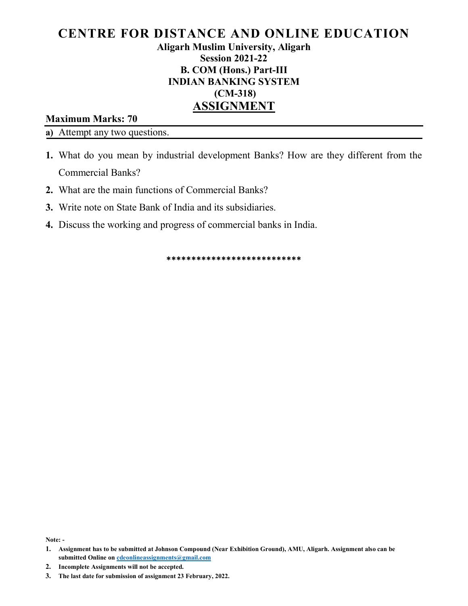# CENTRE FOR DISTANCE AND ONLINE EDUCATION Aligarh Muslim University, Aligarh Session 2021-22 B. COM (Hons.) Part-III INDIAN BANKING SYSTEM (CM-318) ASSIGNMENT

Maximum Marks: 70

a) Attempt any two questions.

- 1. What do you mean by industrial development Banks? How are they different from the Commercial Banks?
- 2. What are the main functions of Commercial Banks?
- 3. Write note on State Bank of India and its subsidiaries.
- 4. Discuss the working and progress of commercial banks in India.

\*\*\*\*\*\*\*\*\*\*\*\*\*\*\*\*\*\*\*\*\*\*\*\*\*\*\*

Note: -

<sup>1.</sup> Assignment has to be submitted at Johnson Compound (Near Exhibition Ground), AMU, Aligarh. Assignment also can be submitted Online on cdeonlineassignments@gmail.com

<sup>3.</sup> The last date for submission of assignment 23 February, 2022.